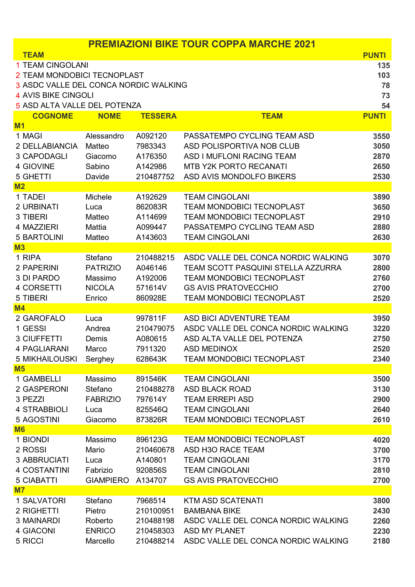| <b>PREMIAZIONI BIKE TOUR COPPA MARCHE 2021</b> |                  |                    |                                                 |              |  |
|------------------------------------------------|------------------|--------------------|-------------------------------------------------|--------------|--|
| <b>TEAM</b>                                    |                  |                    |                                                 | <b>PUNTI</b> |  |
| 1 TEAM CINGOLANI                               |                  |                    |                                                 | 135          |  |
| 2 TEAM MONDOBICI TECNOPLAST                    |                  |                    |                                                 |              |  |
| 3 ASDC VALLE DEL CONCA NORDIC WALKING          |                  |                    |                                                 |              |  |
| 4 AVIS BIKE CINGOLI                            |                  |                    | 73                                              |              |  |
| 5 ASD ALTA VALLE DEL POTENZA                   |                  |                    |                                                 | 54           |  |
| <b>COGNOME</b>                                 | <b>NOME</b>      | <b>TESSERA</b>     | <b>TEAM</b>                                     | <b>PUNTI</b> |  |
| M <sub>1</sub>                                 |                  |                    |                                                 |              |  |
| 1 MAGI                                         | Alessandro       | A092120            | PASSATEMPO CYCLING TEAM ASD                     | 3550         |  |
| 2 DELLABIANCIA                                 | Matteo           | 7983343            | ASD POLISPORTIVA NOB CLUB                       | 3050         |  |
| 3 CAPODAGLI                                    | Giacomo          | A176350            | ASD I MUFLONI RACING TEAM                       | 2870         |  |
| 4 GIOVINE                                      | Sabino           | A142986            | <b>MTB Y2K PORTO RECANATI</b>                   | 2650         |  |
| 5 GHETTI                                       | Davide           | 210487752          | ASD AVIS MONDOLFO BIKERS                        | 2530         |  |
| M <sub>2</sub>                                 |                  |                    |                                                 |              |  |
| 1 TADEI                                        | Michele          | A192629            | <b>TEAM CINGOLANI</b>                           | 3890         |  |
| 2 URBINATI                                     | Luca             | 862083R            | <b>TEAM MONDOBICI TECNOPLAST</b>                | 3650         |  |
| 3 TIBERI                                       | Matteo           | A114699            | <b>TEAM MONDOBICI TECNOPLAST</b>                | 2910         |  |
| 4 MAZZIERI                                     | Mattia           | A099447            | PASSATEMPO CYCLING TEAM ASD                     | 2880         |  |
| <b>5 BARTOLINI</b>                             | Matteo           | A143603            | <b>TEAM CINGOLANI</b>                           | 2630         |  |
| M <sub>3</sub>                                 |                  |                    |                                                 |              |  |
| 1 RIPA                                         | Stefano          | 210488215          | ASDC VALLE DEL CONCA NORDIC WALKING             | 3070         |  |
| 2 PAPERINI                                     | <b>PATRIZIO</b>  | A046146            | <b>TEAM SCOTT PASQUINI STELLA AZZURRA</b>       | 2800         |  |
| 3 DI PARDO                                     | Massimo          | A192006            | <b>TEAM MONDOBICI TECNOPLAST</b>                | 2760         |  |
| 4 CORSETTI                                     | <b>NICOLA</b>    | 571614V            | <b>GS AVIS PRATOVECCHIO</b>                     | 2700         |  |
| 5 TIBERI                                       | Enrico           | 860928E            | <b>TEAM MONDOBICI TECNOPLAST</b>                | 2520         |  |
| M <sub>4</sub>                                 |                  |                    |                                                 |              |  |
| 2 GAROFALO                                     | Luca             | 997811F            | ASD BICI ADVENTURE TEAM                         | 3950         |  |
| 1 GESSI                                        | Andrea           | 210479075          | ASDC VALLE DEL CONCA NORDIC WALKING             | 3220         |  |
| 3 CIUFFETTI                                    | Demis            | A080615            | ASD ALTA VALLE DEL POTENZA                      | 2750         |  |
| 4 PAGLIARANI                                   | Marco            | 7911320            | <b>ASD MEDINOX</b>                              | 2520         |  |
| <b>5 MIKHAILOUSKI</b>                          | Serghey          | 628643K            | <b>TEAM MONDOBICI TECNOPLAST</b>                | 2340         |  |
| M <sub>5</sub>                                 |                  |                    |                                                 |              |  |
| 1 GAMBELLI                                     | Massimo          | 891546K            | <b>TEAM CINGOLANI</b>                           | 3500         |  |
| 2 GASPERONI                                    | Stefano          | 210488278          | <b>ASD BLACK ROAD</b>                           | 3130         |  |
| 3 PEZZI                                        | <b>FABRIZIO</b>  | 797614Y<br>825546Q | <b>TEAM ERREPI ASD</b><br><b>TEAM CINGOLANI</b> | 2900         |  |
| 4 STRABBIOLI<br>5 AGOSTINI                     | Luca             |                    | <b>TEAM MONDOBICI TECNOPLAST</b>                | 2640<br>2610 |  |
| <b>M6</b>                                      | Giacomo          | 873826R            |                                                 |              |  |
| 1 BIONDI                                       | Massimo          | 896123G            | <b>TEAM MONDOBICI TECNOPLAST</b>                | 4020         |  |
| 2 ROSSI                                        | Mario            | 210460678          | ASD H3O RACE TEAM                               | 3700         |  |
| <b>3 ABBRUCIATI</b>                            | Luca             | A140801            | <b>TEAM CINGOLANI</b>                           | 3170         |  |
| 4 COSTANTINI                                   | Fabrizio         | 920856S            | <b>TEAM CINGOLANI</b>                           | 2810         |  |
| <b>5 CIABATTI</b>                              | <b>GIAMPIERO</b> | A134707            | <b>GS AVIS PRATOVECCHIO</b>                     | 2700         |  |
| M <sub>7</sub>                                 |                  |                    |                                                 |              |  |
| 1 SALVATORI                                    | Stefano          | 7968514            | <b>KTM ASD SCATENATI</b>                        | 3800         |  |
| 2 RIGHETTI                                     | Pietro           | 210100951          | <b>BAMBANA BIKE</b>                             | 2430         |  |
| 3 MAINARDI                                     | Roberto          | 210488198          | ASDC VALLE DEL CONCA NORDIC WALKING             | 2260         |  |
| 4 GIACONI                                      | <b>ENRICO</b>    | 210458303          | <b>ASD MY PLANET</b>                            | 2230         |  |
| 5 RICCI                                        | Marcello         | 210488214          | ASDC VALLE DEL CONCA NORDIC WALKING             | 2180         |  |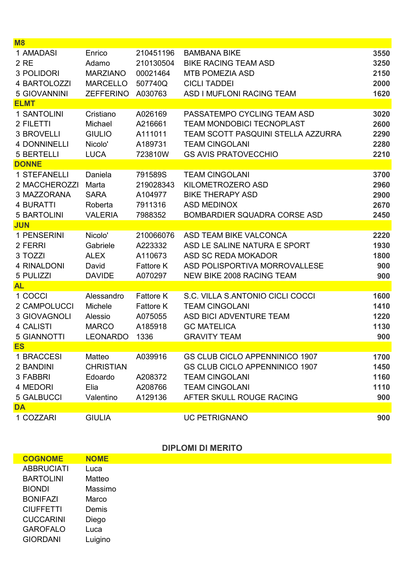| M8                  |                  |                  |                                       |      |
|---------------------|------------------|------------------|---------------------------------------|------|
| 1 AMADASI           | Enrico           | 210451196        | <b>BAMBANA BIKE</b>                   | 3550 |
| 2 RE                | Adamo            | 210130504        | <b>BIKE RACING TEAM ASD</b>           | 3250 |
| 3 POLIDORI          | <b>MARZIANO</b>  | 00021464         | <b>MTB POMEZIA ASD</b>                | 2150 |
| 4 BARTOLOZZI        | <b>MARCELLO</b>  | 507740Q          | <b>CICLI TADDEI</b>                   | 2000 |
| 5 GIOVANNINI        | <b>ZEFFERINO</b> | A030763          | ASD I MUFLONI RACING TEAM             | 1620 |
| <b>ELMT</b>         |                  |                  |                                       |      |
| 1 SANTOLINI         | Cristiano        | A026169          | PASSATEMPO CYCLING TEAM ASD           | 3020 |
| 2 FILETTI           | Michael          | A216661          | <b>TEAM MONDOBICI TECNOPLAST</b>      | 2600 |
| <b>3 BROVELLI</b>   | <b>GIULIO</b>    | A111011          | TEAM SCOTT PASQUINI STELLA AZZURRA    | 2290 |
| <b>4 DONNINELLI</b> | Nicolo'          | A189731          | <b>TEAM CINGOLANI</b>                 | 2280 |
| <b>5 BERTELLI</b>   | <b>LUCA</b>      | 723810W          | <b>GS AVIS PRATOVECCHIO</b>           | 2210 |
| <b>DONNE</b>        |                  |                  |                                       |      |
| 1 STEFANELLI        | Daniela          | 791589S          | <b>TEAM CINGOLANI</b>                 | 3700 |
| 2 MACCHEROZZI       | Marta            | 219028343        | KILOMETROZERO ASD                     | 2960 |
| 3 MAZZORANA         | <b>SARA</b>      | A104977          | <b>BIKE THERAPY ASD</b>               | 2900 |
| 4 BURATTI           | Roberta          | 7911316          | <b>ASD MEDINOX</b>                    | 2670 |
| <b>5 BARTOLINI</b>  | <b>VALERIA</b>   | 7988352          | <b>BOMBARDIER SQUADRA CORSE ASD</b>   | 2450 |
| <b>JUN</b>          |                  |                  |                                       |      |
| 1 PENSERINI         | Nicolo'          | 210066076        | ASD TEAM BIKE VALCONCA                | 2220 |
| 2 FERRI             | Gabriele         | A223332          | ASD LE SALINE NATURA E SPORT          | 1930 |
| 3 TOZZI             | <b>ALEX</b>      | A110673          | <b>ASD SC REDA MOKADOR</b>            | 1800 |
| 4 RINALDONI         | David            | <b>Fattore K</b> | ASD POLISPORTIVA MORROVALLESE         | 900  |
| 5 PULIZZI           | <b>DAVIDE</b>    | A070297          | <b>NEW BIKE 2008 RACING TEAM</b>      | 900  |
| <b>AL</b>           |                  |                  |                                       |      |
| 1 COCCI             | Alessandro       | <b>Fattore K</b> | S.C. VILLA S.ANTONIO CICLI COCCI      | 1600 |
| 2 CAMPOLUCCI        | Michele          | <b>Fattore K</b> | <b>TEAM CINGOLANI</b>                 | 1410 |
| <b>3 GIOVAGNOLI</b> | Alessio          | A075055          | ASD BICI ADVENTURE TEAM               | 1220 |
| <b>4 CALISTI</b>    | <b>MARCO</b>     | A185918          | <b>GC MATELICA</b>                    | 1130 |
| <b>5 GIANNOTTI</b>  | <b>LEONARDO</b>  | 1336             | <b>GRAVITY TEAM</b>                   | 900  |
| <b>ES</b>           |                  |                  |                                       |      |
| 1 BRACCESI          | Matteo           | A039916          | <b>GS CLUB CICLO APPENNINICO 1907</b> | 1700 |
| 2 BANDINI           | <b>CHRISTIAN</b> |                  | <b>GS CLUB CICLO APPENNINICO 1907</b> | 1450 |
| 3 FABBRI            | Edoardo          | A208372          | <b>TEAM CINGOLANI</b>                 | 1160 |
| 4 MEDORI            | Elia             | A208766          | <b>TEAM CINGOLANI</b>                 | 1110 |
| <b>5 GALBUCCI</b>   | Valentino        | A129136          | AFTER SKULL ROUGE RACING              | 900  |
| <b>DA</b>           |                  |                  |                                       |      |
| 1 COZZARI           | <b>GIULIA</b>    |                  | <b>UC PETRIGNANO</b>                  | 900  |

**DIPLOMI DI MERITO** 

| <b>COGNOME</b>    | <b>NOME</b> |
|-------------------|-------------|
| <b>ABBRUCIATI</b> | Luca        |
| <b>BARTOLINI</b>  | Matteo      |
| <b>BIONDI</b>     | Massimo     |
| <b>BONIFAZI</b>   | Marco       |
| <b>CIUFFETTI</b>  | Demis       |
| <b>CUCCARINI</b>  | Diego       |
| <b>GAROFALO</b>   | Luca        |
| <b>GIORDANI</b>   | Luigino     |
|                   |             |